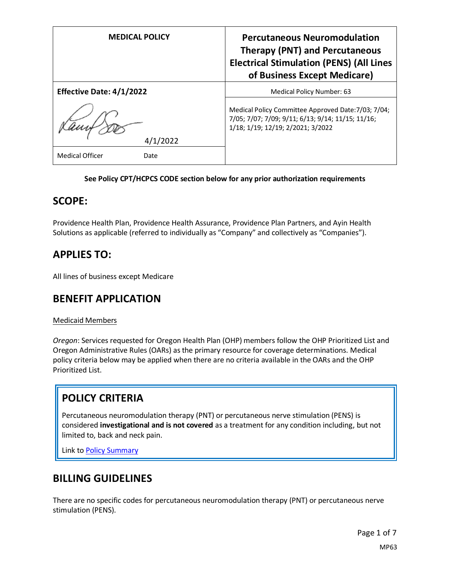| <b>MEDICAL POLICY</b>           | <b>Percutaneous Neuromodulation</b><br><b>Therapy (PNT) and Percutaneous</b><br><b>Electrical Stimulation (PENS) (All Lines</b><br>of Business Except Medicare) |
|---------------------------------|-----------------------------------------------------------------------------------------------------------------------------------------------------------------|
| <b>Effective Date: 4/1/2022</b> | Medical Policy Number: 63                                                                                                                                       |
| /2022                           | Medical Policy Committee Approved Date: 7/03; 7/04;<br>7/05; 7/07; 7/09; 9/11; 6/13; 9/14; 11/15; 11/16;<br>1/18; 1/19; 12/19; 2/2021; 3/2022                   |
| <b>Medical Officer</b><br>Date  |                                                                                                                                                                 |

#### **See Policy CPT/HCPCS CODE section below for any prior authorization requirements**

### **SCOPE:**

Providence Health Plan, Providence Health Assurance, Providence Plan Partners, and Ayin Health Solutions as applicable (referred to individually as "Company" and collectively as "Companies").

### **APPLIES TO:**

All lines of business except Medicare

### **BENEFIT APPLICATION**

#### Medicaid Members

*Oregon*: Services requested for Oregon Health Plan (OHP) members follow the OHP Prioritized List and Oregon Administrative Rules (OARs) as the primary resource for coverage determinations. Medical policy criteria below may be applied when there are no criteria available in the OARs and the OHP Prioritized List.

### **POLICY CRITERIA**

Percutaneous neuromodulation therapy (PNT) or percutaneous nerve stimulation (PENS) is considered **investigational and is not covered** as a treatment for any condition including, but not limited to, back and neck pain.

Link t[o Policy Summary](#page-4-0)

### **BILLING GUIDELINES**

There are no specific codes for percutaneous neuromodulation therapy (PNT) or percutaneous nerve stimulation (PENS).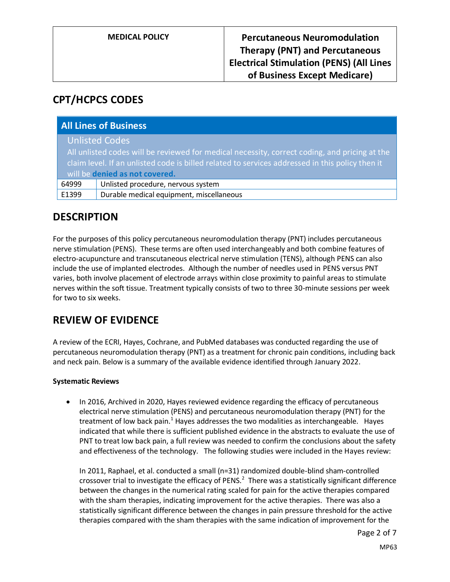# **CPT/HCPCS CODES**

| <b>All Lines of Business</b>                                                                    |                                          |
|-------------------------------------------------------------------------------------------------|------------------------------------------|
|                                                                                                 | <b>Unlisted Codes</b>                    |
| All unlisted codes will be reviewed for medical necessity, correct coding, and pricing at the   |                                          |
| claim level. If an unlisted code is billed related to services addressed in this policy then it |                                          |
| will be denied as not covered.                                                                  |                                          |
| 64999                                                                                           | Unlisted procedure, nervous system       |
| E1399                                                                                           | Durable medical equipment, miscellaneous |

# **DESCRIPTION**

For the purposes of this policy percutaneous neuromodulation therapy (PNT) includes percutaneous nerve stimulation (PENS). These terms are often used interchangeably and both combine features of electro-acupuncture and transcutaneous electrical nerve stimulation (TENS), although PENS can also include the use of implanted electrodes. Although the number of needles used in PENS versus PNT varies, both involve placement of electrode arrays within close proximity to painful areas to stimulate nerves within the soft tissue. Treatment typically consists of two to three 30-minute sessions per week for two to six weeks.

# **REVIEW OF EVIDENCE**

A review of the ECRI, Hayes, Cochrane, and PubMed databases was conducted regarding the use of percutaneous neuromodulation therapy (PNT) as a treatment for chronic pain conditions, including back and neck pain. Below is a summary of the available evidence identified through January 2022.

### **Systematic Reviews**

• In 2016, Archived in 2020, Hayes reviewed evidence regarding the efficacy of percutaneous electrical nerve stimulation (PENS) and percutaneous neuromodulation therapy (PNT) for the treatment of low back pain.<sup>1</sup> Hayes addresses the two modalities as interchangeable. Hayes indicated that while there is sufficient published evidence in the abstracts to evaluate the use of PNT to treat low back pain, a full review was needed to confirm the conclusions about the safety and effectiveness of the technology. The following studies were included in the Hayes review:

In 2011, Raphael, et al. conducted a small (n=31) randomized double-blind sham-controlled crossover trial to investigate the efficacy of PENS.<sup>2</sup> There was a statistically significant difference between the changes in the numerical rating scaled for pain for the active therapies compared with the sham therapies, indicating improvement for the active therapies. There was also a statistically significant difference between the changes in pain pressure threshold for the active therapies compared with the sham therapies with the same indication of improvement for the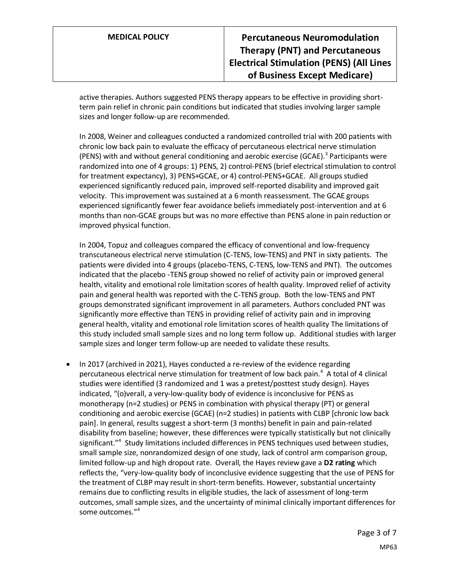active therapies. Authors suggested PENS therapy appears to be effective in providing shortterm pain relief in chronic pain conditions but indicated that studies involving larger sample sizes and longer follow-up are recommended.

In 2008, Weiner and colleagues conducted a randomized controlled trial with 200 patients with chronic low back pain to evaluate the efficacy of percutaneous electrical nerve stimulation (PENS) with and without general conditioning and aerobic exercise (GCAE).<sup>3</sup> Participants were randomized into one of 4 groups: 1) PENS, 2) control-PENS (brief electrical stimulation to control for treatment expectancy), 3) PENS+GCAE, or 4) control-PENS+GCAE. All groups studied experienced significantly reduced pain, improved self-reported disability and improved gait velocity. This improvement was sustained at a 6 month reassessment. The GCAE groups experienced significantly fewer fear avoidance beliefs immediately post-intervention and at 6 months than non-GCAE groups but was no more effective than PENS alone in pain reduction or improved physical function.

In 2004, Topuz and colleagues compared the efficacy of conventional and low-frequency transcutaneous electrical nerve stimulation (C-TENS, low-TENS) and PNT in sixty patients. The patients were divided into 4 groups (placebo-TENS, C-TENS, low-TENS and PNT). The outcomes indicated that the placebo -TENS group showed no relief of activity pain or improved general health, vitality and emotional role limitation scores of health quality. Improved relief of activity pain and general health was reported with the C-TENS group. Both the low-TENS and PNT groups demonstrated significant improvement in all parameters. Authors concluded PNT was significantly more effective than TENS in providing relief of activity pain and in improving general health, vitality and emotional role limitation scores of health quality The limitations of this study included small sample sizes and no long term follow up. Additional studies with larger sample sizes and longer term follow-up are needed to validate these results.

• In 2017 (archived in 2021), Hayes conducted a re-review of the evidence regarding percutaneous electrical nerve stimulation for treatment of low back pain.<sup>4</sup> A total of 4 clinical studies were identified (3 randomized and 1 was a pretest/posttest study design). Hayes indicated, "(o)verall, a very-low-quality body of evidence is inconclusive for PENS as monotherapy (n=2 studies) or PENS in combination with physical therapy (PT) or general conditioning and aerobic exercise (GCAE) (n=2 studies) in patients with CLBP [chronic low back pain]. In general, results suggest a short-term (3 months) benefit in pain and pain-related disability from baseline; however, these differences were typically statistically but not clinically significant."<sup>4</sup> Study limitations included differences in PENS techniques used between studies, small sample size, nonrandomized design of one study, lack of control arm comparison group, limited follow-up and high dropout rate. Overall, the Hayes review gave a **D2 rating** which reflects the, "very-low-quality body of inconclusive evidence suggesting that the use of PENS for the treatment of CLBP may result in short-term benefits. However, substantial uncertainty remains due to conflicting results in eligible studies, the lack of assessment of long-term outcomes, small sample sizes, and the uncertainty of minimal clinically important differences for some outcomes."<sup>4</sup>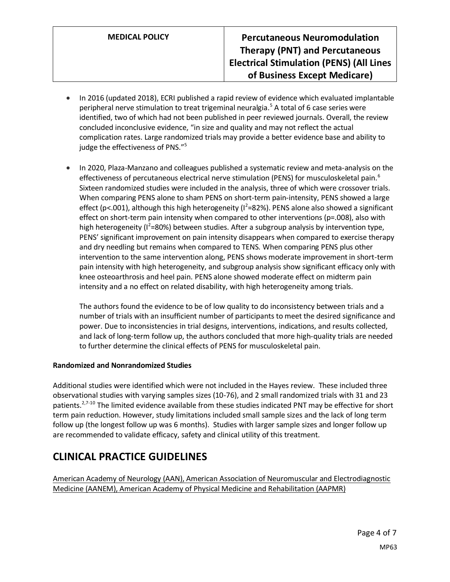- In 2016 (updated 2018), ECRI published a rapid review of evidence which evaluated implantable peripheral nerve stimulation to treat trigeminal neuralgia.<sup>5</sup> A total of 6 case series were identified, two of which had not been published in peer reviewed journals. Overall, the review concluded inconclusive evidence, "in size and quality and may not reflect the actual complication rates. Large randomized trials may provide a better evidence base and ability to judge the effectiveness of PNS."<sup>5</sup>
- In 2020, Plaza-Manzano and colleagues published a systematic review and meta-analysis on the effectiveness of percutaneous electrical nerve stimulation (PENS) for musculoskeletal pain.<sup>6</sup> Sixteen randomized studies were included in the analysis, three of which were crossover trials. When comparing PENS alone to sham PENS on short-term pain-intensity, PENS showed a large effect (p<.001), although this high heterogeneity ( $I^2$ =82%). PENS alone also showed a significant effect on short-term pain intensity when compared to other interventions (p=.008), also with high heterogeneity (I<sup>2</sup>=80%) between studies. After a subgroup analysis by intervention type, PENS' significant improvement on pain intensity disappears when compared to exercise therapy and dry needling but remains when compared to TENS. When comparing PENS plus other intervention to the same intervention along, PENS shows moderate improvement in short-term pain intensity with high heterogeneity, and subgroup analysis show significant efficacy only with knee osteoarthrosis and heel pain. PENS alone showed moderate effect on midterm pain intensity and a no effect on related disability, with high heterogeneity among trials.

The authors found the evidence to be of low quality to do inconsistency between trials and a number of trials with an insufficient number of participants to meet the desired significance and power. Due to inconsistencies in trial designs, interventions, indications, and results collected, and lack of long-term follow up, the authors concluded that more high-quality trials are needed to further determine the clinical effects of PENS for musculoskeletal pain.

#### **Randomized and Nonrandomized Studies**

Additional studies were identified which were not included in the Hayes review. These included three observational studies with varying samples sizes (10-76), and 2 small randomized trials with 31 and 23 patients.<sup>2,7-10</sup> The limited evidence available from these studies indicated PNT may be effective for short term pain reduction. However, study limitations included small sample sizes and the lack of long term follow up (the longest follow up was 6 months). Studies with larger sample sizes and longer follow up are recommended to validate efficacy, safety and clinical utility of this treatment.

# **CLINICAL PRACTICE GUIDELINES**

American Academy of Neurology (AAN), American Association of Neuromuscular and Electrodiagnostic Medicine (AANEM), American Academy of Physical Medicine and Rehabilitation (AAPMR)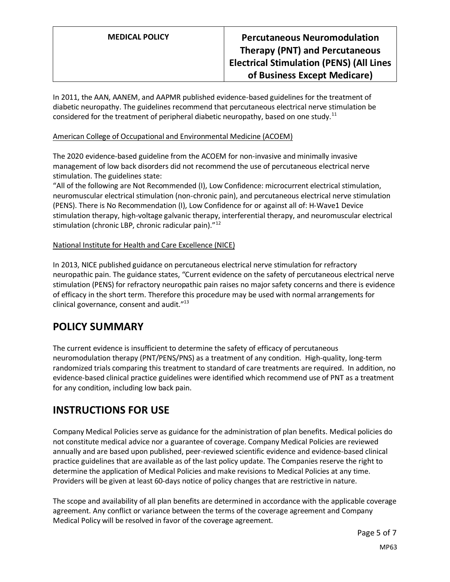In 2011, the AAN, AANEM, and AAPMR published evidence-based guidelines for the treatment of diabetic neuropathy. The guidelines recommend that percutaneous electrical nerve stimulation be considered for the treatment of peripheral diabetic neuropathy, based on one study.<sup>11</sup>

### American College of Occupational and Environmental Medicine (ACOEM)

The 2020 evidence-based guideline from the ACOEM for non-invasive and minimally invasive management of low back disorders did not recommend the use of percutaneous electrical nerve stimulation. The guidelines state:

"All of the following are Not Recommended (I), Low Confidence: microcurrent electrical stimulation, neuromuscular electrical stimulation (non-chronic pain), and percutaneous electrical nerve stimulation (PENS). There is No Recommendation (I), Low Confidence for or against all of: H-Wave1 Device stimulation therapy, high-voltage galvanic therapy, interferential therapy, and neuromuscular electrical stimulation (chronic LBP, chronic radicular pain)."<sup>12</sup>

### National Institute for Health and Care Excellence (NICE)

In 2013, NICE published guidance on percutaneous electrical nerve stimulation for refractory neuropathic pain. The guidance states, "Current evidence on the safety of percutaneous electrical nerve stimulation (PENS) for refractory neuropathic pain raises no major safety concerns and there is evidence of efficacy in the short term. Therefore this procedure may be used with normal arrangements for clinical governance, consent and audit."<sup>13</sup>

# <span id="page-4-0"></span>**POLICY SUMMARY**

The current evidence is insufficient to determine the safety of efficacy of percutaneous neuromodulation therapy (PNT/PENS/PNS) as a treatment of any condition. High-quality, long-term randomized trials comparing this treatment to standard of care treatments are required. In addition, no evidence-based clinical practice guidelines were identified which recommend use of PNT as a treatment for any condition, including low back pain.

# **INSTRUCTIONS FOR USE**

Company Medical Policies serve as guidance for the administration of plan benefits. Medical policies do not constitute medical advice nor a guarantee of coverage. Company Medical Policies are reviewed annually and are based upon published, peer-reviewed scientific evidence and evidence-based clinical practice guidelines that are available as of the last policy update. The Companies reserve the right to determine the application of Medical Policies and make revisions to Medical Policies at any time. Providers will be given at least 60-days notice of policy changes that are restrictive in nature.

The scope and availability of all plan benefits are determined in accordance with the applicable coverage agreement. Any conflict or variance between the terms of the coverage agreement and Company Medical Policy will be resolved in favor of the coverage agreement.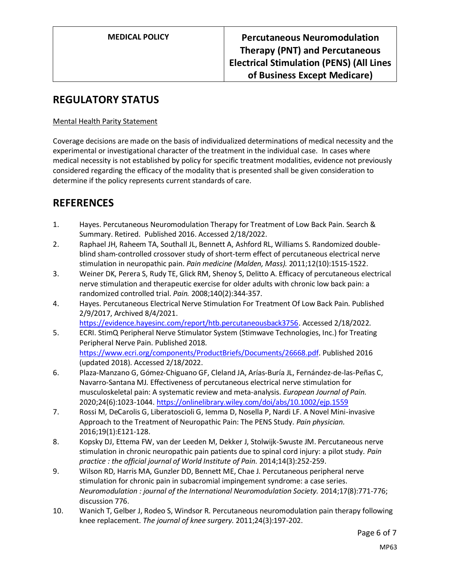# **REGULATORY STATUS**

### Mental Health Parity Statement

Coverage decisions are made on the basis of individualized determinations of medical necessity and the experimental or investigational character of the treatment in the individual case. In cases where medical necessity is not established by policy for specific treatment modalities, evidence not previously considered regarding the efficacy of the modality that is presented shall be given consideration to determine if the policy represents current standards of care.

### **REFERENCES**

- 1. Hayes. Percutaneous Neuromodulation Therapy for Treatment of Low Back Pain. Search & Summary. Retired. Published 2016. Accessed 2/18/2022.
- 2. Raphael JH, Raheem TA, Southall JL, Bennett A, Ashford RL, Williams S. Randomized doubleblind sham-controlled crossover study of short-term effect of percutaneous electrical nerve stimulation in neuropathic pain. *Pain medicine (Malden, Mass).* 2011;12(10):1515-1522.
- 3. Weiner DK, Perera S, Rudy TE, Glick RM, Shenoy S, Delitto A. Efficacy of percutaneous electrical nerve stimulation and therapeutic exercise for older adults with chronic low back pain: a randomized controlled trial. *Pain.* 2008;140(2):344-357.
- 4. Hayes. Percutaneous Electrical Nerve Stimulation For Treatment Of Low Back Pain. Published 2/9/2017, Archived 8/4/2021. [https://evidence.hayesinc.com/report/htb.percutaneousback3756.](https://evidence.hayesinc.com/report/htb.percutaneousback3756) Accessed 2/18/2022.
- 5. ECRI. StimQ Peripheral Nerve Stimulator System (Stimwave Technologies, Inc.) for Treating Peripheral Nerve Pain. Published 2018. [https://www.ecri.org/components/ProductBriefs/Documents/26668.pdf.](https://www.ecri.org/components/ProductBriefs/Documents/26668.pdf) Published 2016 (updated 2018). Accessed 2/18/2022.
- 6. Plaza-Manzano G, Gómez-Chiguano GF, Cleland JA, Arías-Buría JL, Fernández-de-las-Peñas C, Navarro-Santana MJ. Effectiveness of percutaneous electrical nerve stimulation for musculoskeletal pain: A systematic review and meta-analysis. *European Journal of Pain.*  2020;24(6):1023-1044.<https://onlinelibrary.wiley.com/doi/abs/10.1002/ejp.1559>
- 7. Rossi M, DeCarolis G, Liberatoscioli G, Iemma D, Nosella P, Nardi LF. A Novel Mini-invasive Approach to the Treatment of Neuropathic Pain: The PENS Study. *Pain physician.*  2016;19(1):E121-128.
- 8. Kopsky DJ, Ettema FW, van der Leeden M, Dekker J, Stolwijk-Swuste JM. Percutaneous nerve stimulation in chronic neuropathic pain patients due to spinal cord injury: a pilot study. *Pain practice : the official journal of World Institute of Pain.* 2014;14(3):252-259.
- 9. Wilson RD, Harris MA, Gunzler DD, Bennett ME, Chae J. Percutaneous peripheral nerve stimulation for chronic pain in subacromial impingement syndrome: a case series. *Neuromodulation : journal of the International Neuromodulation Society.* 2014;17(8):771-776; discussion 776.
- 10. Wanich T, Gelber J, Rodeo S, Windsor R. Percutaneous neuromodulation pain therapy following knee replacement. *The journal of knee surgery.* 2011;24(3):197-202.